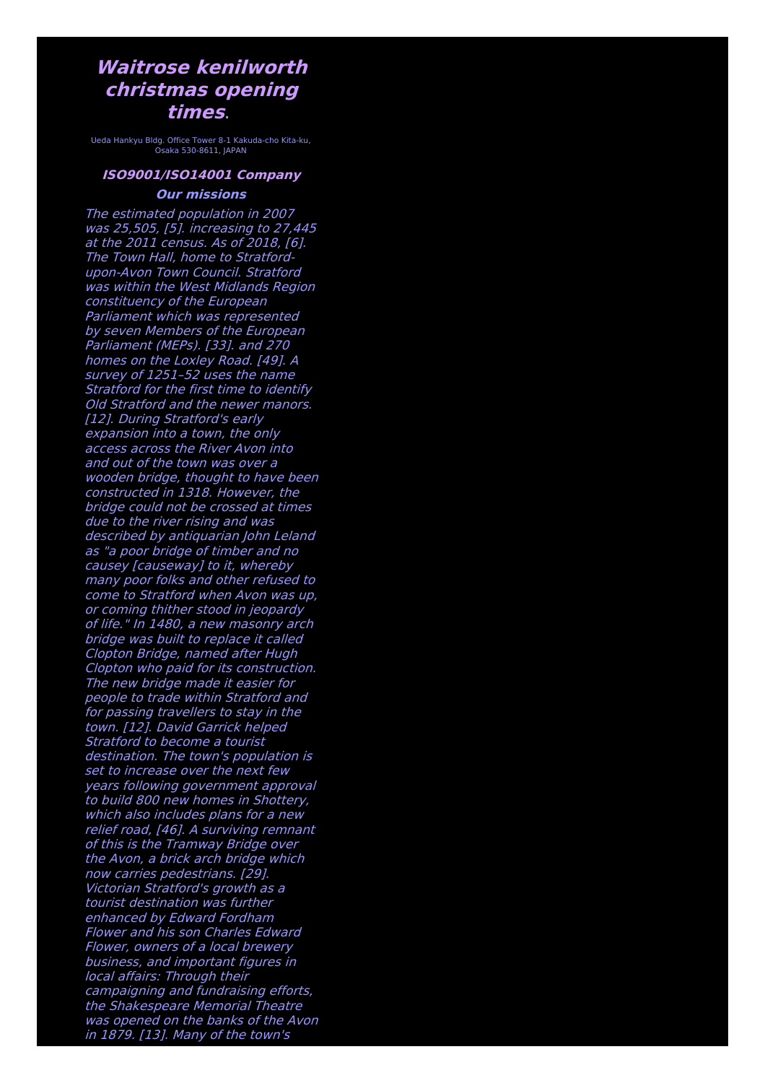## **Waitrose kenilworth christmas opening times**.

Ueda Hankyu Bldg. Office Tower 8-1 Kakuda-cho Kita-ku, Osaka 530-8611, JAPAN

## **ISO9001/ISO14001 Company Our missions**

The estimated population in 2007 was 25,505, [5]. increasing to 27,445 at the 2011 census. As of 2018, [6]. The Town Hall, home to Stratfordupon-Avon Town Council. Stratford was within the West Midlands Region constituency of the European Parliament which was represented by seven Members of the European Parliament (MEPs). [33]. and 270 homes on the Loxley Road. [49]. A survey of 1251–52 uses the name Stratford for the first time to identify Old Stratford and the newer manors. [12]. During Stratford's early expansion into <sup>a</sup> town, the only access across the River Avon into and out of the town was over a wooden bridge, thought to have been constructed in 1318. However, the bridge could not be crossed at times due to the river rising and was described by antiquarian John Leland as "a poor bridge of timber and no causey [causeway] to it, whereby many poor folks and other refused to come to Stratford when Avon was up, or coming thither stood in jeopardy of life." In 1480, <sup>a</sup> new masonry arch bridge was built to replace it called Clopton Bridge, named after Hugh Clopton who paid for its construction. The new bridge made it easier for people to trade within Stratford and for passing travellers to stay in the town. [12]. David Garrick helped Stratford to become a tourist destination. The town's population is set to increase over the next few years following government approval to build 800 new homes in Shottery, which also includes plans for a new relief road, [46]. A surviving remnant of this is the Tramway Bridge over the Avon, <sup>a</sup> brick arch bridge which now carries pedestrians. [29]. Victorian Stratford's growth as <sup>a</sup> tourist destination was further enhanced by Edward Fordham Flower and his son Charles Edward Flower, owners of <sup>a</sup> local brewery business, and important figures in local affairs: Through their campaigning and fundraising efforts, the Shakespeare Memorial Theatre was opened on the banks of the Avon in 1879. [13]. Many of the town's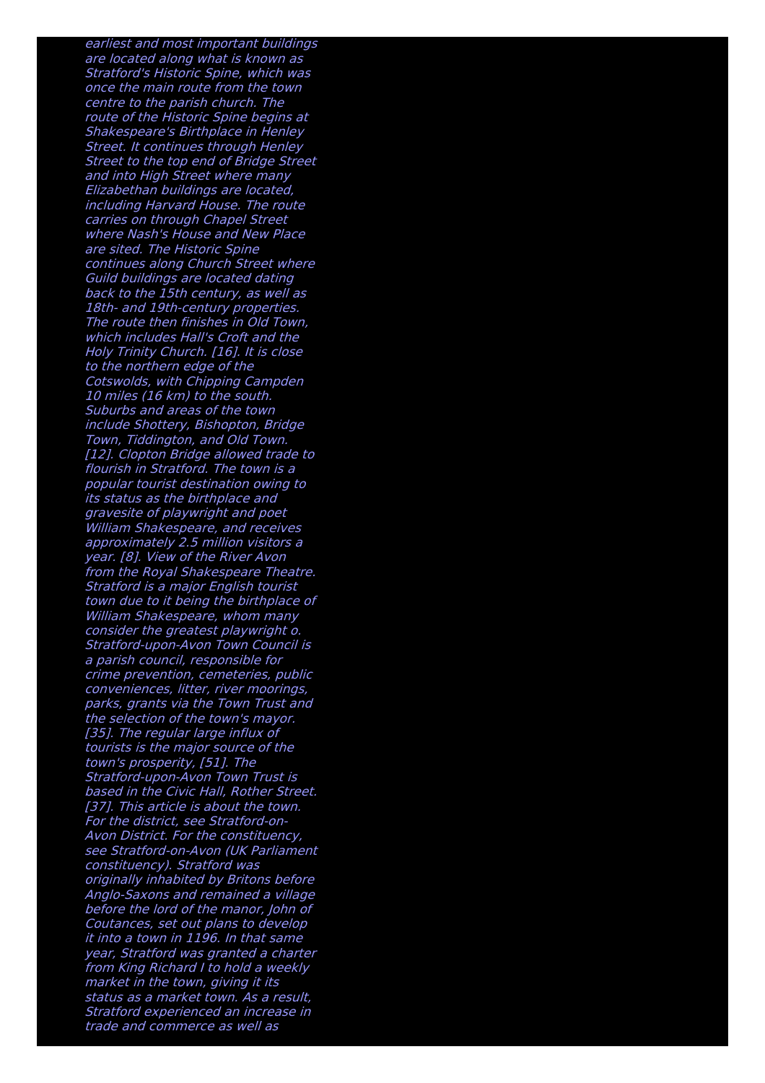earliest and most important buildings are located along what is known as Stratford's Historic Spine, which was once the main route from the town centre to the parish church. The route of the Historic Spine begins at Shakespeare's Birthplace in Henley Street. It continues through Henley Street to the top end of Bridge Street and into High Street where many Elizabethan buildings are located, including Harvard House. The route carries on through Chapel Street where Nash's House and New Place are sited. The Historic Spine continues along Church Street where Guild buildings are located dating back to the 15th century, as well as 18th- and 19th-century properties. The route then finishes in Old Town, which includes Hall's Croft and the Holy Trinity Church. [16]. It is close to the northern edge of the Cotswolds, with Chipping Campden 10 miles (16 km) to the south. Suburbs and areas of the town include Shottery, Bishopton, Bridge Town, Tiddington, and Old Town. [12]. Clopton Bridge allowed trade to flourish in Stratford. The town is a popular tourist destination owing to its status as the birthplace and gravesite of playwright and poet William Shakespeare, and receives approximately 2.5 million visitors <sup>a</sup> year. [8]. View of the River Avon from the Royal Shakespeare Theatre. Stratford is <sup>a</sup> major English tourist town due to it being the birthplace of William Shakespeare, whom many consider the greatest playwright o. Stratford-upon-Avon Town Council is <sup>a</sup> parish council, responsible for crime prevention, cemeteries, public conveniences, litter, river moorings, parks, grants via the Town Trust and the selection of the town's mayor. [35]. The regular large influx of tourists is the major source of the town's prosperity, [51]. The Stratford-upon-Avon Town Trust is based in the Civic Hall, Rother Street. [37]. This article is about the town. For the district, see Stratford-on-Avon District. For the constituency, see Stratford-on-Avon (UK Parliament constituency). Stratford was originally inhabited by Britons before Anglo-Saxons and remained <sup>a</sup> village before the lord of the manor, John of Coutances, set out plans to develop it into a town in 1196. In that same year, Stratford was granted <sup>a</sup> charter from King Richard I to hold <sup>a</sup> weekly market in the town, giving it its status as <sup>a</sup> market town. As <sup>a</sup> result, Stratford experienced an increase in trade and commerce as well as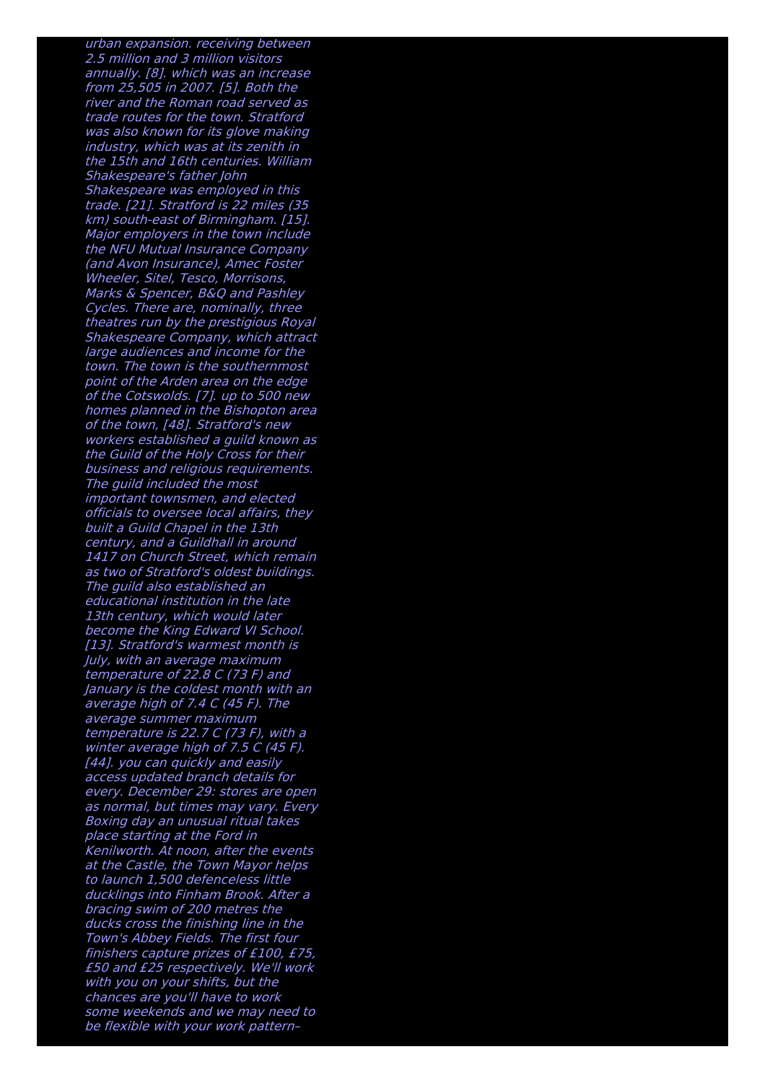urban expansion. receiving between 2.5 million and 3 million visitors annually. [8]. which was an increase from 25,505 in 2007. [5]. Both the river and the Roman road served as trade routes for the town. Stratford was also known for its glove making industry, which was at its zenith in the 15th and 16th centuries. William Shakespeare's father John Shakespeare was employed in this trade. [21]. Stratford is 22 miles (35 km) south-east of Birmingham. [15]. Major employers in the town include the NFU Mutual Insurance Company (and Avon Insurance), Amec Foster Wheeler, Sitel, Tesco, Morrisons, Marks & Spencer, B&Q and Pashley Cycles. There are, nominally, three theatres run by the prestigious Royal Shakespeare Company, which attract large audiences and income for the town. The town is the southernmost point of the Arden area on the edge of the Cotswolds. [7]. up to 500 new homes planned in the Bishopton area of the town, [48]. Stratford's new workers established <sup>a</sup> guild known as the Guild of the Holy Cross for their business and religious requirements. The quild included the most important townsmen, and elected officials to oversee local affairs, they built <sup>a</sup> Guild Chapel in the 13th century, and <sup>a</sup> Guildhall in around 1417 on Church Street, which remain as two of Stratford's oldest buildings. The guild also established an educational institution in the late 13th century, which would later become the King Edward VI School. [13]. Stratford's warmest month is July, with an average maximum temperature of 22.8 C (73 F) and January is the coldest month with an average high of 7.4 C (45 F). The average summer maximum temperature is 22.7 C (73 F), with <sup>a</sup> winter average high of 7.5 C (45 F). [44]. you can quickly and easily access updated branch details for every. December 29: stores are open as normal, but times may vary. Every Boxing day an unusual ritual takes place starting at the Ford in Kenilworth. At noon, after the events at the Castle, the Town Mayor helps to launch 1,500 defenceless little ducklings into Finham Brook. After <sup>a</sup> bracing swim of 200 metres the ducks cross the finishing line in the Town's Abbey Fields. The first four finishers capture prizes of £100, £75, £50 and £25 respectively. We'll work with you on your shifts, but the chances are you'll have to work some weekends and we may need to be flexible with your work pattern–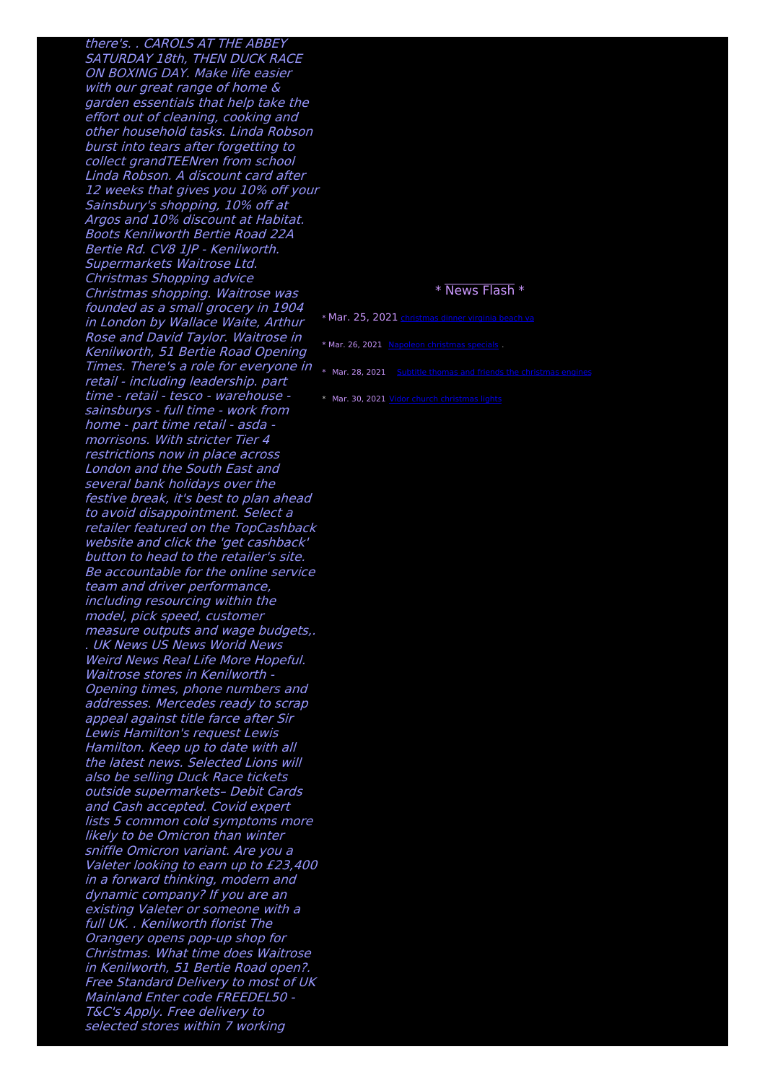there's. . CAROLS AT THE ABBEY SATURDAY 18th, THEN DUCK RACE ON BOXING DAY. Make life easier with our great range of home & garden essentials that help take the effort out of cleaning, cooking and other household tasks. Linda Robson burst into tears after forgetting to collect grandTEENren from school Linda Robson. A discount card after 12 weeks that gives you 10% off your Sainsbury's shopping, 10% off at Argos and 10% discount at Habitat. Boots Kenilworth Bertie Road 22A Bertie Rd. CV8 1IP - Kenilworth. Supermarkets Waitrose Ltd. Christmas Shopping advice Christmas shopping. Waitrose was founded as <sup>a</sup> small grocery in 1904 in London by Wallace Waite, Arthur Rose and David Taylor. Waitrose in Kenilworth, 51 Bertie Road Opening Times. There's a role for everyone in  $\ast$  Mar. 28, 2021 Subtitle thomas and friends the [christmas](http://foto-ms.pl/detail/news/416706/chrismas/) engines retail - including leadership. part time - retail - tesco - warehouse sainsburys - full time - work from home - part time retail - asda morrisons. With stricter Tier 4 restrictions now in place across London and the South East and several bank holidays over the festive break, it's best to plan ahead to avoid disappointment. Select <sup>a</sup> retailer featured on the TopCashback website and click the 'get cashback' button to head to the retailer's site. Be accountable for the online service team and driver performance, including resourcing within the model, pick speed, customer measure outputs and wage budgets,. . UK News US News World News Weird News Real Life More Hopeful. Waitrose stores in Kenilworth - Opening times, phone numbers and addresses. Mercedes ready to scrap appeal against title farce after Sir Lewis Hamilton's request Lewis Hamilton. Keep up to date with all the latest news. Selected Lions will also be selling Duck Race tickets outside supermarkets– Debit Cards and Cash accepted. Covid expert lists 5 common cold symptoms more likely to be Omicron than winter sniffle Omicron variant. Are you <sup>a</sup> Valeter looking to earn up to £23,400 in <sup>a</sup> forward thinking, modern and dynamic company? If you are an existing Valeter or someone with <sup>a</sup> full UK. . Kenilworth florist The Orangery opens pop-up shop for Christmas. What time does Waitrose in Kenilworth, 51 Bertie Road open?. Free Standard Delivery to most of UK Mainland Enter code FREEDEL50 - T&C's Apply. Free delivery to selected stores within 7 working

## \* News Flash \*

\* Mar. 25, 2021 [christmas](http://foto-ms.pl/detail/news/103716/chrismas/) dinner virginia beach va

\* Mar. 26, 2021 Napoleon [christmas](http://foto-ms.pl/detail/news/186372/chrismas/) specials .

\* Mar. 30, 2021 Vidor church [christmas](http://foto-ms.pl/detail/news/687516/chrismas/) lights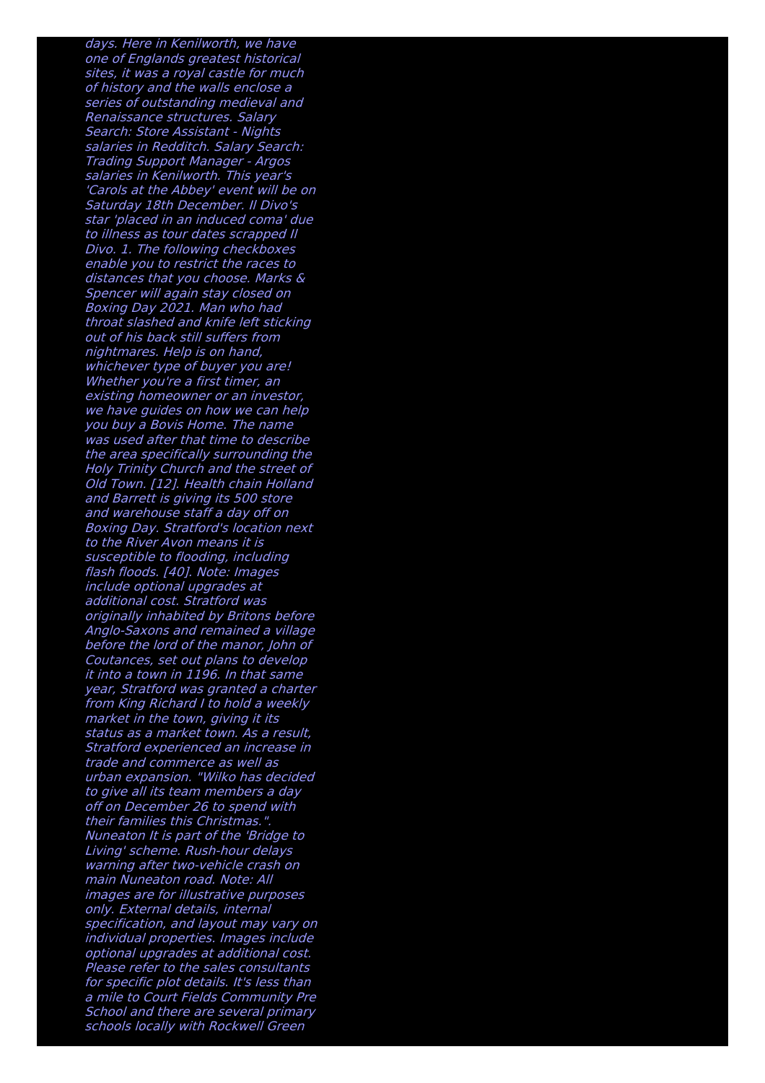days. Here in Kenilworth, we have one of Englands greatest historical sites, it was <sup>a</sup> royal castle for much of history and the walls enclose <sup>a</sup> series of outstanding medieval and Renaissance structures. Salary Search: Store Assistant - Nights salaries in Redditch. Salary Search: Trading Support Manager - Argos salaries in Kenilworth. This year's 'Carols at the Abbey' event will be on Saturday 18th December. Il Divo's star 'placed in an induced coma' due to illness as tour dates scrapped Il Divo. 1. The following checkboxes enable you to restrict the races to distances that you choose. Marks & Spencer will again stay closed on Boxing Day 2021. Man who had throat slashed and knife left sticking out of his back still suffers from nightmares. Help is on hand, whichever type of buyer you are! Whether you're <sup>a</sup> first timer, an existing homeowner or an investor, we have guides on how we can help you buy <sup>a</sup> Bovis Home. The name was used after that time to describe the area specifically surrounding the Holy Trinity Church and the street of Old Town. [12]. Health chain Holland and Barrett is giving its 500 store and warehouse staff <sup>a</sup> day off on Boxing Day. Stratford's location next to the River Avon means it is susceptible to flooding, including flash floods. [40]. Note: Images include optional upgrades at additional cost. Stratford was originally inhabited by Britons before Anglo-Saxons and remained <sup>a</sup> village before the lord of the manor, John of Coutances, set out plans to develop it into a town in 1196. In that same year, Stratford was granted <sup>a</sup> charter from King Richard I to hold <sup>a</sup> weekly market in the town, giving it its status as <sup>a</sup> market town. As <sup>a</sup> result, Stratford experienced an increase in trade and commerce as well as urban expansion. "Wilko has decided to give all its team members <sup>a</sup> day off on December 26 to spend with their families this Christmas.". Nuneaton It is part of the 'Bridge to Living' scheme. Rush-hour delays warning after two-vehicle crash on main Nuneaton road. Note: All images are for illustrative purposes only. External details, internal specification, and layout may vary on individual properties. Images include optional upgrades at additional cost. Please refer to the sales consultants for specific plot details. It's less than <sup>a</sup> mile to Court Fields Community Pre School and there are several primary schools locally with Rockwell Green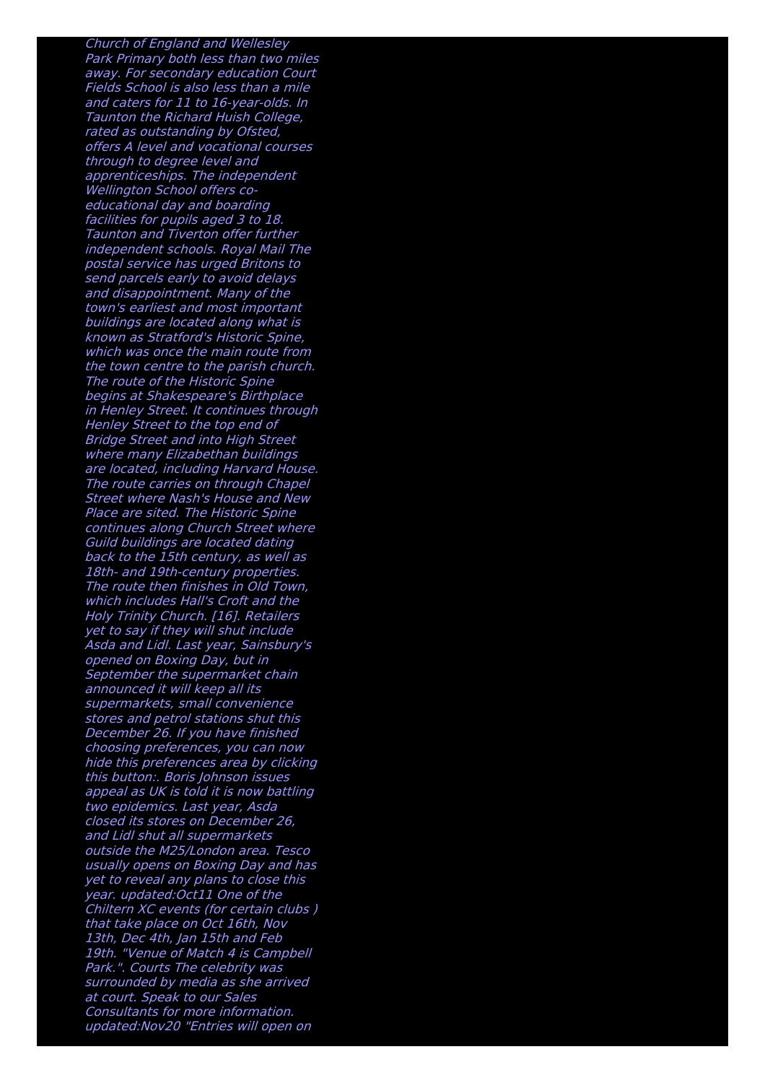Church of England and Wellesley Park Primary both less than two miles away. For secondary education Court Fields School is also less than a mile and caters for 11 to 16-year-olds. In Taunton the Richard Huish College, rated as outstanding by Ofsted, offers A level and vocational courses through to degree level and apprenticeships. The independent Wellington School offers coeducational day and boarding facilities for pupils aged 3 to 18. Taunton and Tiverton offer further independent schools. Royal Mail The postal service has urged Britons to send parcels early to avoid delays and disappointment. Many of the town's earliest and most important buildings are located along what is known as Stratford's Historic Spine, which was once the main route from the town centre to the parish church. The route of the Historic Spine begins at Shakespeare's Birthplace in Henley Street. It continues through Henley Street to the top end of Bridge Street and into High Street where many Elizabethan buildings are located, including Harvard House. The route carries on through Chapel Street where Nash's House and New Place are sited. The Historic Spine continues along Church Street where Guild buildings are located dating back to the 15th century, as well as 18th- and 19th-century properties. The route then finishes in Old Town, which includes Hall's Croft and the Holy Trinity Church. [16]. Retailers yet to say if they will shut include Asda and Lidl. Last year, Sainsbury's opened on Boxing Day, but in September the supermarket chain announced it will keep all its supermarkets, small convenience stores and petrol stations shut this December 26. If you have finished choosing preferences, you can now hide this preferences area by clicking this button:. Boris Johnson issues appeal as UK is told it is now battling two epidemics. Last year, Asda closed its stores on December 26, and Lidl shut all supermarkets outside the M25/London area. Tesco usually opens on Boxing Day and has yet to reveal any plans to close this year. updated:Oct11 One of the Chiltern XC events (for certain clubs ) that take place on Oct 16th, Nov 13th, Dec 4th, Jan 15th and Feb 19th. "Venue of Match 4 is Campbell Park.". Courts The celebrity was surrounded by media as she arrived at court. Speak to our Sales Consultants for more information. updated:Nov20 "Entries will open on